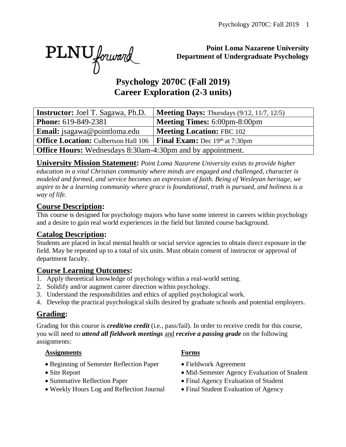PLNU forward

#### **Point Loma Nazarene University Department of Undergraduate Psychology**

# **Psychology 2070C (Fall 2019) Career Exploration (2-3 units)**

| <b>Instructor:</b> Joel T. Sagawa, Ph.D.                          | <b>Meeting Days:</b> Thursdays $(9/12, 11/7, 12/5)$ |  |  |
|-------------------------------------------------------------------|-----------------------------------------------------|--|--|
| <b>Phone:</b> 619-849-2381                                        | <b>Meeting Times: 6:00pm-8:00pm</b>                 |  |  |
| <b>Email:</b> jsagawa@pointloma.edu                               | <b>Meeting Location: FBC 102</b>                    |  |  |
| <b>Office Location:</b> Culbertson Hall 106                       | <b>Final Exam:</b> Dec 19th at 7:30pm               |  |  |
| <b>Office Hours:</b> Wednesdays 8:30am-4:30pm and by appointment. |                                                     |  |  |

**University Mission Statement:** *Point Loma Nazarene University exists to provide higher education in a vital Christian community where minds are engaged and challenged, character is modeled and formed, and service becomes an expression of faith. Being of Wesleyan heritage, we aspire to be a learning community where grace is foundational, truth is pursued, and holiness is a way of life.*

#### **Course Description:**

This course is designed for psychology majors who have some interest in careers within psychology and a desire to gain real world experiences in the field but limited course background.

#### **Catalog Description:**

Students are placed in local mental health or social service agencies to obtain direct exposure in the field. May be repeated up to a total of six units. Must obtain consent of instructor or approval of department faculty.

#### **Course Learning Outcomes:**

- 1. Apply theoretical knowledge of psychology within a real-world setting.
- 2. Solidify and/or augment career direction within psychology.
- 3. Understand the responsibilities and ethics of applied psychological work.
- 4. Develop the practical psychological skills desired by graduate schools and potential employers.

#### **Grading:**

Grading for this course is *credit/no credit* (i.e., pass/fail). In order to receive credit for this course, you will need to *attend all fieldwork meetings* and *receive a passing grade* on the following assignments:

#### **Assignments Forms**

- Beginning of Semester Reflection Paper Fieldwork Agreement
- 
- 
- Weekly Hours Log and Reflection Journal Final Student Evaluation of Agency
- 
- 
- Site Report Mid-Semester Agency Evaluation of Student
- Summative Reflection Paper Final Agency Evaluation of Student
	-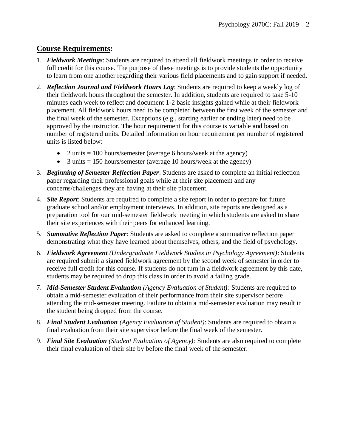#### **Course Requirements:**

- 1. *Fieldwork Meetings*: Students are required to attend all fieldwork meetings in order to receive full credit for this course. The purpose of these meetings is to provide students the opportunity to learn from one another regarding their various field placements and to gain support if needed.
- 2. *Reflection Journal and Fieldwork Hours Log*: Students are required to keep a weekly log of their fieldwork hours throughout the semester. In addition, students are required to take 5-10 minutes each week to reflect and document 1-2 basic insights gained while at their fieldwork placement. All fieldwork hours need to be completed between the first week of the semester and the final week of the semester. Exceptions (e.g., starting earlier or ending later) need to be approved by the instructor. The hour requirement for this course is variable and based on number of registered units. Detailed information on hour requirement per number of registered units is listed below:
	- 2 units  $= 100$  hours/semester (average 6 hours/week at the agency)
	- 3 units  $= 150$  hours/semester (average 10 hours/week at the agency)
- 3. *Beginning of Semester Reflection Paper*: Students are asked to complete an initial reflection paper regarding their professional goals while at their site placement and any concerns/challenges they are having at their site placement.
- 4. *Site Report*: Students are required to complete a site report in order to prepare for future graduate school and/or employment interviews. In addition, site reports are designed as a preparation tool for our mid-semester fieldwork meeting in which students are asked to share their site experiences with their peers for enhanced learning.
- 5. *Summative Reflection Paper*: Students are asked to complete a summative reflection paper demonstrating what they have learned about themselves, others, and the field of psychology.
- 6. *Fieldwork Agreement (Undergraduate Fieldwork Studies in Psychology Agreement)*: Students are required submit a signed fieldwork agreement by the second week of semester in order to receive full credit for this course. If students do not turn in a fieldwork agreement by this date, students may be required to drop this class in order to avoid a failing grade.
- 7. *Mid*-*Semester Student Evaluation (Agency Evaluation of Student)*: Students are required to obtain a mid-semester evaluation of their performance from their site supervisor before attending the mid-semester meeting. Failure to obtain a mid-semester evaluation may result in the student being dropped from the course.
- 8. *Final Student Evaluation (Agency Evaluation of Student)*: Students are required to obtain a final evaluation from their site supervisor before the final week of the semester.
- 9. *Final Site Evaluation (Student Evaluation of Agency)*: Students are also required to complete their final evaluation of their site by before the final week of the semester.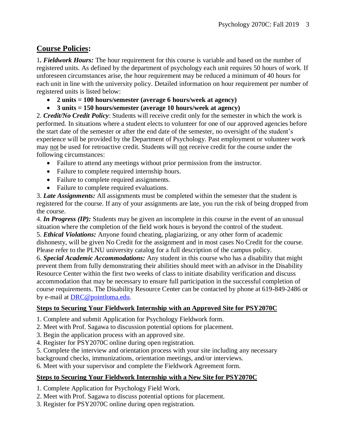#### **Course Policies:**

1*. Fieldwork Hours:* The hour requirement for this course is variable and based on the number of registered units. As defined by the department of psychology each unit requires 50 hours of work. If unforeseen circumstances arise, the hour requirement may be reduced a minimum of 40 hours for each unit in line with the university policy. Detailed information on hour requirement per number of registered units is listed below:

- **2 units = 100 hours/semester (average 6 hours/week at agency)**
- **3 units = 150 hours/semester (average 10 hours/week at agency)**

2. *Credit/No Credit Policy*: Students will receive credit only for the semester in which the work is performed. In situations where a student elects to volunteer for one of our approved agencies before the start date of the semester or after the end date of the semester, no oversight of the student's experience will be provided by the Department of Psychology. Past employment or volunteer work may not be used for retroactive credit. Students will not receive credit for the course under the following circumstances:

- Failure to attend any meetings without prior permission from the instructor.
- Failure to complete required internship hours.
- Failure to complete required assignments.
- Failure to complete required evaluations.

3. *Late Assignments:* All assignments must be completed within the semester that the student is registered for the course. If any of your assignments are late, you run the risk of being dropped from the course.

4. *In Progress (IP):* Students may be given an incomplete in this course in the event of an unusual situation where the completion of the field work hours is beyond the control of the student. 5. *Ethical Violations:* Anyone found cheating, plagiarizing, or any other form of academic dishonesty, will be given No Credit for the assignment and in most cases No Credit for the course. Please refer to the PLNU university catalog for a full description of the campus policy.

6. *Special Academic Accommodations:* Any student in this course who has a disability that might prevent them from fully demonstrating their abilities should meet with an advisor in the Disability Resource Center within the first two weeks of class to initiate disability verification and discuss accommodation that may be necessary to ensure full participation in the successful completion of course requirements. The Disability Resource Center can be contacted by phone at 619-849-2486 or by e-mail at [DRC@pointloma.edu.](mailto:DRC@pointloma.edu)

#### **Steps to Securing Your Fieldwork Internship with an Approved Site for PSY2070C**

- 1. Complete and submit Application for Psychology Fieldwork form.
- 2. Meet with Prof. Sagawa to discussion potential options for placement.
- 3. Begin the application process with an approved site.
- 4. Register for PSY2070C online during open registration.
- 5. Complete the interview and orientation process with your site including any necessary

background checks, immunizations, orientation meetings, and/or interviews.

6. Meet with your supervisor and complete the Fieldwork Agreement form.

#### **Steps to Securing Your Fieldwork Internship with a New Site for PSY2070C**

- 1. Complete Application for Psychology Field Work.
- 2. Meet with Prof. Sagawa to discuss potential options for placement.
- 3. Register for PSY2070C online during open registration.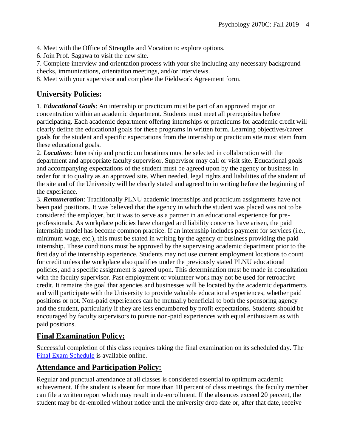4. Meet with the Office of Strengths and Vocation to explore options.

6. Join Prof. Sagawa to visit the new site.

7. Complete interview and orientation process with your site including any necessary background checks, immunizations, orientation meetings, and/or interviews.

8. Meet with your supervisor and complete the Fieldwork Agreement form.

#### **University Policies:**

1. *Educational Goals*: An internship or practicum must be part of an approved major or concentration within an academic department. Students must meet all prerequisites before participating. Each academic department offering internships or practicums for academic credit will clearly define the educational goals for these programs in written form. Learning objectives/career goals for the student and specific expectations from the internship or practicum site must stem from these educational goals.

2. *Locations*: Internship and practicum locations must be selected in collaboration with the department and appropriate faculty supervisor. Supervisor may call or visit site. Educational goals and accompanying expectations of the student must be agreed upon by the agency or business in order for it to quality as an approved site. When needed, legal rights and liabilities of the student of the site and of the University will be clearly stated and agreed to in writing before the beginning of the experience.

3. *Remuneration*: Traditionally PLNU academic internships and practicum assignments have not been paid positions. It was believed that the agency in which the student was placed was not to be considered the employer, but it was to serve as a partner in an educational experience for preprofessionals. As workplace policies have changed and liability concerns have arisen, the paid internship model has become common practice. If an internship includes payment for services (i.e., minimum wage, etc.), this must be stated in writing by the agency or business providing the paid internship. These conditions must be approved by the supervising academic department prior to the first day of the internship experience. Students may not use current employment locations to count for credit unless the workplace also qualifies under the previously stated PLNU educational policies, and a specific assignment is agreed upon. This determination must be made in consultation with the faculty supervisor. Past employment or volunteer work may not be used for retroactive credit. It remains the goal that agencies and businesses will be located by the academic departments and will participate with the University to provide valuable educational experiences, whether paid positions or not. Non-paid experiences can be mutually beneficial to both the sponsoring agency and the student, particularly if they are less encumbered by profit expectations. Students should be encouraged by faculty supervisors to pursue non-paid experiences with equal enthusiasm as with paid positions.

#### **Final Examination Policy:**

Successful completion of this class requires taking the final examination on its scheduled day. The [Final Exam Schedule](http://www.pointloma.edu/experience/academics/class-schedules) is available online.

#### **Attendance and Participation Policy:**

Regular and punctual attendance at all classes is considered essential to optimum academic achievement. If the student is absent for more than 10 percent of class meetings, the faculty member can file a written report which may result in de-enrollment. If the absences exceed 20 percent, the student may be de-enrolled without notice until the university drop date or, after that date, receive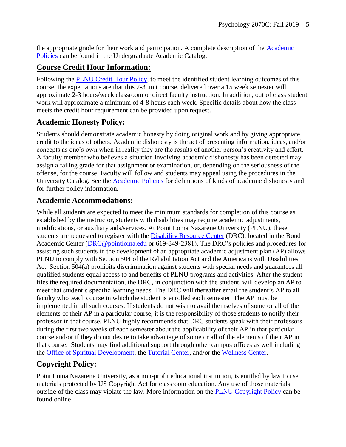the appropriate grade for their work and participation. A complete description of the [Academic](https://catalog.pointloma.edu/content.php?catoid=18&navoid=1278#Class_Attendance)  [Policies](https://catalog.pointloma.edu/content.php?catoid=18&navoid=1278#Class_Attendance) can be found in the Undergraduate Academic Catalog.

#### **Course Credit Hour Information:**

Following the [PLNU Credit Hour Policy,](http://catalog.pointloma.edu/content.php?catoid=18&navoid=1278#Credit_Hour_Definition) to meet the identified student learning outcomes of this course, the expectations are that this 2-3 unit course, delivered over a 15 week semester will approximate 2-3 hours/week classroom or direct faculty instruction. In addition, out of class student work will approximate a minimum of 4-8 hours each week. Specific details about how the class meets the credit hour requirement can be provided upon request.

#### **Academic Honesty Policy:**

Students should demonstrate academic honesty by doing original work and by giving appropriate credit to the ideas of others. Academic dishonesty is the act of presenting information, ideas, and/or concepts as one's own when in reality they are the results of another person's creativity and effort. A faculty member who believes a situation involving academic dishonesty has been detected may assign a failing grade for that assignment or examination, or, depending on the seriousness of the offense, for the course. Faculty will follow and students may appeal using the procedures in the University Catalog. See the **Academic Policies** for definitions of kinds of academic dishonesty and for further policy information.

#### **Academic Accommodations:**

While all students are expected to meet the minimum standards for completion of this course as established by the instructor, students with disabilities may require academic adjustments, modifications, or auxiliary aids/services. At Point Loma Nazarene University (PLNU), these students are requested to register with the **Disability Resource Center** (DRC), located in the Bond Academic Center [\(DRC@pointloma.edu](mailto:DRC@pointloma.edu) or 619-849-2381). The DRC's policies and procedures for assisting such students in the development of an appropriate academic adjustment plan (AP) allows PLNU to comply with Section 504 of the Rehabilitation Act and the Americans with Disabilities Act. Section 504(a) prohibits discrimination against students with special needs and guarantees all qualified students equal access to and benefits of PLNU programs and activities. After the student files the required documentation, the DRC, in conjunction with the student, will develop an AP to meet that student's specific learning needs. The DRC will thereafter email the student's AP to all faculty who teach course in which the student is enrolled each semester. The AP must be implemented in all such courses. If students do not wish to avail themselves of some or all of the elements of their AP in a particular course, it is the responsibility of those students to notify their professor in that course. PLNU highly recommends that DRC students speak with their professors during the first two weeks of each semester about the applicability of their AP in that particular course and/or if they do not desire to take advantage of some or all of the elements of their AP in that course. Students may find additional support through other campus offices as well including the [Office of Spiritual Development,](https://www.pointloma.edu/offices/spiritual-development) the [Tutorial Center,](https://www.pointloma.edu/offices/tutorial-services) and/or the [Wellness Center.](https://www.pointloma.edu/offices/wellness-center)

#### **Copyright Policy:**

Point Loma Nazarene University, as a non-profit educational institution, is entitled by law to use materials protected by US Copyright Act for classroom education. Any use of those materials outside of the class may violate the law. More information on the [PLNU Copyright Policy](http://libguides.pointloma.edu/content.php?pid=203591&sid=1700398) can be found online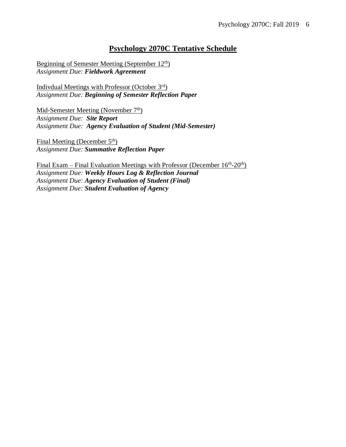#### **Psychology 2070C Tentative Schedule**

Beginning of Semester Meeting (September 12th) *Assignment Due: Fieldwork Agreement*

Indivdual Meetings with Professor (October 3rd) *Assignment Due: Beginning of Semester Reflection Paper*

Mid-Semester Meeting (November 7<sup>th</sup>) *Assignment Due: Site Report Assignment Due: Agency Evaluation of Student (Mid-Semester)*

Final Meeting (December 5<sup>th</sup>) *Assignment Due: Summative Reflection Paper*

Final Exam – Final Evaluation Meetings with Professor (December 16<sup>th</sup>-20<sup>th</sup>) *Assignment Due: Weekly Hours Log & Reflection Journal Assignment Due: Agency Evaluation of Student (Final) Assignment Due: Student Evaluation of Agency*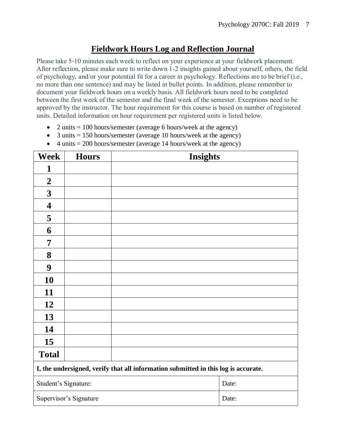#### **Fieldwork Hours Log and Reflection Journal**

Please take 5-10 minutes each week to reflect on your experience at your fieldwork placement. After reflection, please make sure to write down 1-2 insights gained about yourself, others, the field of psychology, and/or your potential fit for a career in psychology. Reflections are to be brief (i.e., no more than one sentence) and may be listed in bullet points. In addition, please remember to document your fieldwork hours on a weekly basis. All fieldwork hours need to be completed between the first week of the semester and the final week of the semester. Exceptions need to be approved by the instructor. The hour requirement for this course is based on number of registered units. Detailed information on hour requirement per registered units is listed below.

- 2 units  $= 100$  hours/semester (average 6 hours/week at the agency)
- 3 units  $= 150$  hours/semester (average 10 hours/week at the agency)
- 4 units  $= 200$  hours/semester (average 14 hours/week at the agency)

| <b>Week</b>                                                                        | <b>Hours</b>           | <b>Insights</b> |       |  |
|------------------------------------------------------------------------------------|------------------------|-----------------|-------|--|
| 1                                                                                  |                        |                 |       |  |
| $\boldsymbol{2}$                                                                   |                        |                 |       |  |
| $\mathbf{3}$                                                                       |                        |                 |       |  |
| $\overline{\mathbf{4}}$                                                            |                        |                 |       |  |
| 5                                                                                  |                        |                 |       |  |
| 6                                                                                  |                        |                 |       |  |
| $\overline{7}$                                                                     |                        |                 |       |  |
| 8                                                                                  |                        |                 |       |  |
| 9                                                                                  |                        |                 |       |  |
| 10                                                                                 |                        |                 |       |  |
| 11                                                                                 |                        |                 |       |  |
| 12                                                                                 |                        |                 |       |  |
| 13                                                                                 |                        |                 |       |  |
| 14                                                                                 |                        |                 |       |  |
| 15                                                                                 |                        |                 |       |  |
| <b>Total</b>                                                                       |                        |                 |       |  |
| I, the undersigned, verify that all information submitted in this log is accurate. |                        |                 |       |  |
| Student's Signature:                                                               |                        |                 | Date: |  |
|                                                                                    | Supervisor's Signature |                 | Date: |  |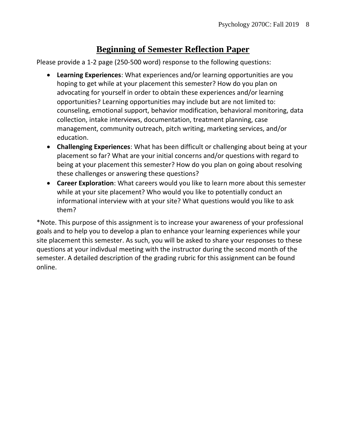### **Beginning of Semester Reflection Paper**

Please provide a 1-2 page (250-500 word) response to the following questions:

- **Learning Experiences**: What experiences and/or learning opportunities are you hoping to get while at your placement this semester? How do you plan on advocating for yourself in order to obtain these experiences and/or learning opportunities? Learning opportunities may include but are not limited to: counseling, emotional support, behavior modification, behavioral monitoring, data collection, intake interviews, documentation, treatment planning, case management, community outreach, pitch writing, marketing services, and/or education.
- **Challenging Experiences**: What has been difficult or challenging about being at your placement so far? What are your initial concerns and/or questions with regard to being at your placement this semester? How do you plan on going about resolving these challenges or answering these questions?
- **Career Exploration**: What careers would you like to learn more about this semester while at your site placement? Who would you like to potentially conduct an informational interview with at your site? What questions would you like to ask them?

\*Note. This purpose of this assignment is to increase your awareness of your professional goals and to help you to develop a plan to enhance your learning experiences while your site placement this semester. As such, you will be asked to share your responses to these questions at your indivdual meeting with the instructor during the second month of the semester. A detailed description of the grading rubric for this assignment can be found online.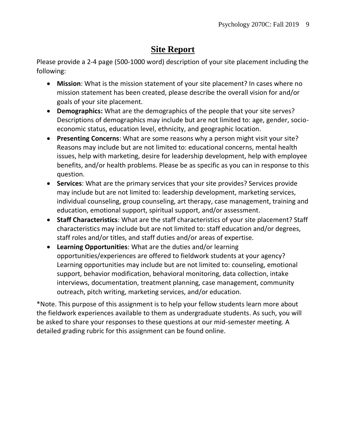# **Site Report**

Please provide a 2-4 page (500-1000 word) description of your site placement including the following:

- **Mission**: What is the mission statement of your site placement? In cases where no mission statement has been created, please describe the overall vision for and/or goals of your site placement.
- **Demographics:** What are the demographics of the people that your site serves? Descriptions of demographics may include but are not limited to: age, gender, socioeconomic status, education level, ethnicity, and geographic location.
- **Presenting Concerns**: What are some reasons why a person might visit your site? Reasons may include but are not limited to: educational concerns, mental health issues, help with marketing, desire for leadership development, help with employee benefits, and/or health problems. Please be as specific as you can in response to this question.
- **Services**: What are the primary services that your site provides? Services provide may include but are not limited to: leadership development, marketing services, individual counseling, group counseling, art therapy, case management, training and education, emotional support, spiritual support, and/or assessment.
- **Staff Characteristics**: What are the staff characteristics of your site placement? Staff characteristics may include but are not limited to: staff education and/or degrees, staff roles and/or titles, and staff duties and/or areas of expertise.
- **Learning Opportunities**: What are the duties and/or learning opportunities/experiences are offered to fieldwork students at your agency? Learning opportunities may include but are not limited to: counseling, emotional support, behavior modification, behavioral monitoring, data collection, intake interviews, documentation, treatment planning, case management, community outreach, pitch writing, marketing services, and/or education.

\*Note. This purpose of this assignment is to help your fellow students learn more about the fieldwork experiences available to them as undergraduate students. As such, you will be asked to share your responses to these questions at our mid-semester meeting. A detailed grading rubric for this assignment can be found online.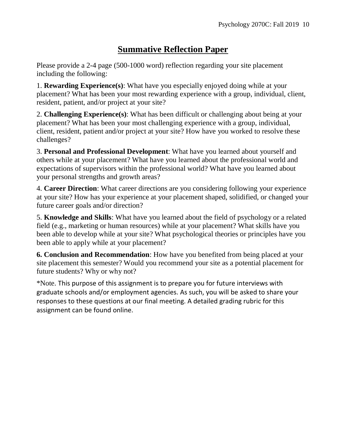## **Summative Reflection Paper**

Please provide a 2-4 page (500-1000 word) reflection regarding your site placement including the following:

1. **Rewarding Experience(s)**: What have you especially enjoyed doing while at your placement? What has been your most rewarding experience with a group, individual, client, resident, patient, and/or project at your site?

2. **Challenging Experience(s)**: What has been difficult or challenging about being at your placement? What has been your most challenging experience with a group, individual, client, resident, patient and/or project at your site? How have you worked to resolve these challenges?

3. **Personal and Professional Development**: What have you learned about yourself and others while at your placement? What have you learned about the professional world and expectations of supervisors within the professional world? What have you learned about your personal strengths and growth areas?

4. **Career Direction**: What career directions are you considering following your experience at your site? How has your experience at your placement shaped, solidified, or changed your future career goals and/or direction?

5. **Knowledge and Skills**: What have you learned about the field of psychology or a related field (e.g., marketing or human resources) while at your placement? What skills have you been able to develop while at your site? What psychological theories or principles have you been able to apply while at your placement?

**6. Conclusion and Recommendation**: How have you benefited from being placed at your site placement this semester? Would you recommend your site as a potential placement for future students? Why or why not?

\*Note. This purpose of this assignment is to prepare you for future interviews with graduate schools and/or employment agencies. As such, you will be asked to share your responses to these questions at our final meeting. A detailed grading rubric for this assignment can be found online.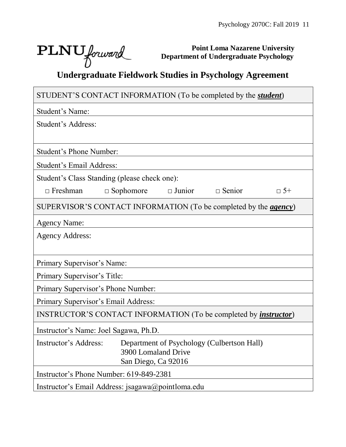$\overline{\phantom{a}}$ 

 $\Box$ 

**Point Loma Nazarene University Department of Undergraduate Psychology**

# **PLNU** *Jorward Department of Undergraduate Psychology*<br>Undergraduate Fieldwork Studies in Psychology Agreement

| STUDENT'S CONTACT INFORMATION (To be completed by the <i>student</i> )   |                                            |               |                                            |           |
|--------------------------------------------------------------------------|--------------------------------------------|---------------|--------------------------------------------|-----------|
| Student's Name:                                                          |                                            |               |                                            |           |
| Student's Address:                                                       |                                            |               |                                            |           |
|                                                                          |                                            |               |                                            |           |
| <b>Student's Phone Number:</b>                                           |                                            |               |                                            |           |
| <b>Student's Email Address:</b>                                          |                                            |               |                                            |           |
| Student's Class Standing (please check one):                             |                                            |               |                                            |           |
| $\Box$ Freshman                                                          | $\Box$ Sophomore                           | $\Box$ Junior | $\Box$ Senior                              | $\Box$ 5+ |
| SUPERVISOR'S CONTACT INFORMATION (To be completed by the <i>agency</i> ) |                                            |               |                                            |           |
| <b>Agency Name:</b>                                                      |                                            |               |                                            |           |
| <b>Agency Address:</b>                                                   |                                            |               |                                            |           |
|                                                                          |                                            |               |                                            |           |
| Primary Supervisor's Name:                                               |                                            |               |                                            |           |
| Primary Supervisor's Title:                                              |                                            |               |                                            |           |
| Primary Supervisor's Phone Number:                                       |                                            |               |                                            |           |
| Primary Supervisor's Email Address:                                      |                                            |               |                                            |           |
| INSTRUCTOR'S CONTACT INFORMATION (To be completed by <i>instructor</i> ) |                                            |               |                                            |           |
| Instructor's Name: Joel Sagawa, Ph.D.                                    |                                            |               |                                            |           |
| Instructor's Address:                                                    |                                            |               | Department of Psychology (Culbertson Hall) |           |
|                                                                          | 3900 Lomaland Drive<br>San Diego, Ca 92016 |               |                                            |           |
| Instructor's Phone Number: 619-849-2381                                  |                                            |               |                                            |           |
| Instructor's Email Address: jsagawa@pointloma.edu                        |                                            |               |                                            |           |
|                                                                          |                                            |               |                                            |           |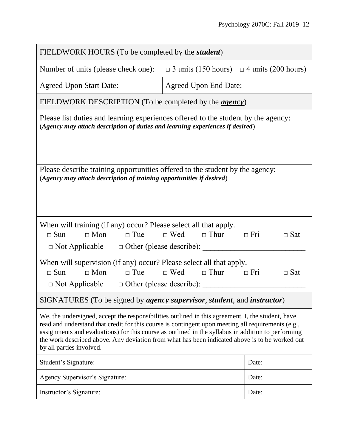| FIELDWORK HOURS (To be completed by the <i>student</i> )                                                                                                                                                                                                                                                                                                                                                                                    |                                                       |                          |  |  |  |
|---------------------------------------------------------------------------------------------------------------------------------------------------------------------------------------------------------------------------------------------------------------------------------------------------------------------------------------------------------------------------------------------------------------------------------------------|-------------------------------------------------------|--------------------------|--|--|--|
| Number of units (please check one):                                                                                                                                                                                                                                                                                                                                                                                                         | $\Box$ 3 units (150 hours) $\Box$ 4 units (200 hours) |                          |  |  |  |
| <b>Agreed Upon Start Date:</b>                                                                                                                                                                                                                                                                                                                                                                                                              | <b>Agreed Upon End Date:</b>                          |                          |  |  |  |
| FIELDWORK DESCRIPTION (To be completed by the <i>agency</i> )                                                                                                                                                                                                                                                                                                                                                                               |                                                       |                          |  |  |  |
| Please list duties and learning experiences offered to the student by the agency:<br>(Agency may attach description of duties and learning experiences if desired)                                                                                                                                                                                                                                                                          |                                                       |                          |  |  |  |
| Please describe training opportunities offered to the student by the agency:<br>(Agency may attach description of training opportunities if desired)                                                                                                                                                                                                                                                                                        |                                                       |                          |  |  |  |
| When will training (if any) occur? Please select all that apply.<br>$\Box$ Mon<br>$\Box$ Sun<br>$\Box$ Tue<br>$\Box$ Not Applicable $\Box$ Other (please describe):                                                                                                                                                                                                                                                                         | $\Box$ Wed $\Box$ Thur<br>$\Box$ Fri                  | $\Box$ Sat               |  |  |  |
| When will supervision (if any) occur? Please select all that apply.<br>$\Box$ Mon<br>$\Box$ Tue<br>$\Box$ Sun<br>$\Box$ Not Applicable $\Box$ Other (please describe):                                                                                                                                                                                                                                                                      | $\Box$ Wed $\Box$ Thur                                | $\Box$ Fri<br>$\Box$ Sat |  |  |  |
| SIGNATURES (To be signed by <i>agency supervisor</i> , <i>student</i> , and <i>instructor</i> )                                                                                                                                                                                                                                                                                                                                             |                                                       |                          |  |  |  |
| We, the undersigned, accept the responsibilities outlined in this agreement. I, the student, have<br>read and understand that credit for this course is contingent upon meeting all requirements (e.g.,<br>assignments and evaluations) for this course as outlined in the syllabus in addition to performing<br>the work described above. Any deviation from what has been indicated above is to be worked out<br>by all parties involved. |                                                       |                          |  |  |  |
| Student's Signature:                                                                                                                                                                                                                                                                                                                                                                                                                        |                                                       | Date:                    |  |  |  |
| Agency Supervisor's Signature:                                                                                                                                                                                                                                                                                                                                                                                                              |                                                       | Date:                    |  |  |  |
| Instructor's Signature:                                                                                                                                                                                                                                                                                                                                                                                                                     |                                                       | Date:                    |  |  |  |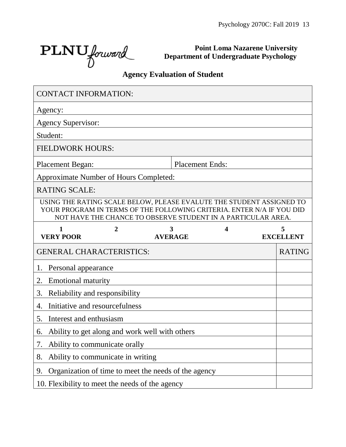$\text{PLNU}_{forward}$ 

**Point Loma Nazarene University Department of Undergraduate Psychology**

# **Agency Evaluation of Student**

| <b>CONTACT INFORMATION:</b>                          |                |                                                                                                                                                                                                               |   |                       |
|------------------------------------------------------|----------------|---------------------------------------------------------------------------------------------------------------------------------------------------------------------------------------------------------------|---|-----------------------|
| Agency:                                              |                |                                                                                                                                                                                                               |   |                       |
| <b>Agency Supervisor:</b>                            |                |                                                                                                                                                                                                               |   |                       |
| Student:                                             |                |                                                                                                                                                                                                               |   |                       |
| <b>FIELDWORK HOURS:</b>                              |                |                                                                                                                                                                                                               |   |                       |
| <b>Placement Began:</b>                              |                | <b>Placement Ends:</b>                                                                                                                                                                                        |   |                       |
| <b>Approximate Number of Hours Completed:</b>        |                |                                                                                                                                                                                                               |   |                       |
| <b>RATING SCALE:</b>                                 |                |                                                                                                                                                                                                               |   |                       |
|                                                      |                | USING THE RATING SCALE BELOW, PLEASE EVALUTE THE STUDENT ASSIGNED TO<br>YOUR PROGRAM IN TERMS OF THE FOLLOWING CRITERIA. ENTER N/A IF YOU DID<br>NOT HAVE THE CHANCE TO OBSERVE STUDENT IN A PARTICULAR AREA. |   |                       |
| $\mathbf{1}$<br><b>VERY POOR</b>                     | $\overline{2}$ | 3<br><b>AVERAGE</b>                                                                                                                                                                                           | 4 | 5<br><b>EXCELLENT</b> |
| <b>GENERAL CHARACTERISTICS:</b>                      |                |                                                                                                                                                                                                               |   | <b>RATING</b>         |
| Personal appearance<br>1.                            |                |                                                                                                                                                                                                               |   |                       |
| <b>Emotional maturity</b><br>2.                      |                |                                                                                                                                                                                                               |   |                       |
| 3.<br>Reliability and responsibility                 |                |                                                                                                                                                                                                               |   |                       |
| Initiative and resourcefulness<br>4.                 |                |                                                                                                                                                                                                               |   |                       |
| 5.<br>Interest and enthusiasm                        |                |                                                                                                                                                                                                               |   |                       |
| Ability to get along and work well with others<br>6. |                |                                                                                                                                                                                                               |   |                       |
| Ability to communicate orally<br>7.                  |                |                                                                                                                                                                                                               |   |                       |
| Ability to communicate in writing<br>8.              |                |                                                                                                                                                                                                               |   |                       |
| 9.                                                   |                | Organization of time to meet the needs of the agency                                                                                                                                                          |   |                       |
|                                                      |                | 10. Flexibility to meet the needs of the agency                                                                                                                                                               |   |                       |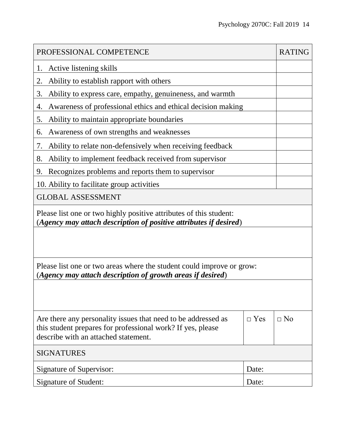| PROFESSIONAL COMPETENCE                                                                                                                                              |            |           |  |  |
|----------------------------------------------------------------------------------------------------------------------------------------------------------------------|------------|-----------|--|--|
| Active listening skills<br>1.                                                                                                                                        |            |           |  |  |
| Ability to establish rapport with others<br>2.                                                                                                                       |            |           |  |  |
| Ability to express care, empathy, genuineness, and warmth<br>3.                                                                                                      |            |           |  |  |
| Awareness of professional ethics and ethical decision making<br>4.                                                                                                   |            |           |  |  |
| Ability to maintain appropriate boundaries<br>5.                                                                                                                     |            |           |  |  |
| Awareness of own strengths and weaknesses<br>6.                                                                                                                      |            |           |  |  |
| Ability to relate non-defensively when receiving feedback<br>7.                                                                                                      |            |           |  |  |
| Ability to implement feedback received from supervisor<br>8.                                                                                                         |            |           |  |  |
| Recognizes problems and reports them to supervisor<br>9.                                                                                                             |            |           |  |  |
| 10. Ability to facilitate group activities                                                                                                                           |            |           |  |  |
| <b>GLOBAL ASSESSMENT</b>                                                                                                                                             |            |           |  |  |
| Please list one or two highly positive attributes of this student:<br>(Agency may attach description of positive attributes if desired)                              |            |           |  |  |
|                                                                                                                                                                      |            |           |  |  |
| Please list one or two areas where the student could improve or grow:<br>(Agency may attach description of growth areas if desired)                                  |            |           |  |  |
|                                                                                                                                                                      |            |           |  |  |
| Are there any personality issues that need to be addressed as<br>this student prepares for professional work? If yes, please<br>describe with an attached statement. | $\Box$ Yes | $\Box$ No |  |  |
| <b>SIGNATURES</b>                                                                                                                                                    |            |           |  |  |
| Signature of Supervisor:                                                                                                                                             | Date:      |           |  |  |
| Signature of Student:                                                                                                                                                | Date:      |           |  |  |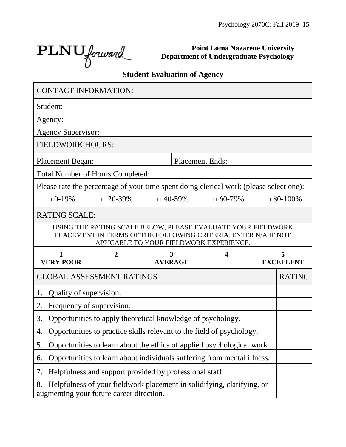Ĩ.

 $\text{PLNU}_{forward}$ 

 $\blacksquare$ 

**Point Loma Nazarene University Department of Undergraduate Psychology**

# **Student Evaluation of Agency**

| <b>CONTACT INFORMATION:</b>                                                                                                                                               |                                                                         |  |                |                        |                  |
|---------------------------------------------------------------------------------------------------------------------------------------------------------------------------|-------------------------------------------------------------------------|--|----------------|------------------------|------------------|
| Student:                                                                                                                                                                  |                                                                         |  |                |                        |                  |
| Agency:                                                                                                                                                                   |                                                                         |  |                |                        |                  |
| <b>Agency Supervisor:</b>                                                                                                                                                 |                                                                         |  |                |                        |                  |
| <b>FIELDWORK HOURS:</b>                                                                                                                                                   |                                                                         |  |                |                        |                  |
| <b>Placement Began:</b>                                                                                                                                                   |                                                                         |  |                | <b>Placement Ends:</b> |                  |
| <b>Total Number of Hours Completed:</b>                                                                                                                                   |                                                                         |  |                |                        |                  |
| Please rate the percentage of your time spent doing clerical work (please select one):                                                                                    |                                                                         |  |                |                        |                  |
| $\Box$ 0-19%                                                                                                                                                              | $\Box$ 20-39%                                                           |  | $\Box$ 40-59%  | $\Box$ 60-79%          | $\Box$ 80-100%   |
| <b>RATING SCALE:</b>                                                                                                                                                      |                                                                         |  |                |                        |                  |
| USING THE RATING SCALE BELOW, PLEASE EVALUATE YOUR FIELDWORK<br>PLACEMENT IN TERMS OF THE FOLLOWING CRITERIA. ENTER N/A IF NOT<br>APPICABLE TO YOUR FIELDWORK EXPERIENCE. |                                                                         |  |                |                        |                  |
|                                                                                                                                                                           |                                                                         |  |                |                        |                  |
| 1                                                                                                                                                                         | 2                                                                       |  | 3              | 4                      | 5                |
| <b>VERY POOR</b>                                                                                                                                                          |                                                                         |  | <b>AVERAGE</b> |                        | <b>EXCELLENT</b> |
| <b>GLOBAL ASSESSMENT RATINGS</b>                                                                                                                                          |                                                                         |  |                |                        | <b>RATING</b>    |
| Quality of supervision.<br>1.                                                                                                                                             |                                                                         |  |                |                        |                  |
| 2.<br>Frequency of supervision.                                                                                                                                           |                                                                         |  |                |                        |                  |
| 3.                                                                                                                                                                        | Opportunities to apply theoretical knowledge of psychology.             |  |                |                        |                  |
| 4.                                                                                                                                                                        | Opportunities to practice skills relevant to the field of psychology.   |  |                |                        |                  |
| 5.                                                                                                                                                                        | Opportunities to learn about the ethics of applied psychological work.  |  |                |                        |                  |
| 6.                                                                                                                                                                        | Opportunities to learn about individuals suffering from mental illness. |  |                |                        |                  |
| 7.                                                                                                                                                                        | Helpfulness and support provided by professional staff.                 |  |                |                        |                  |